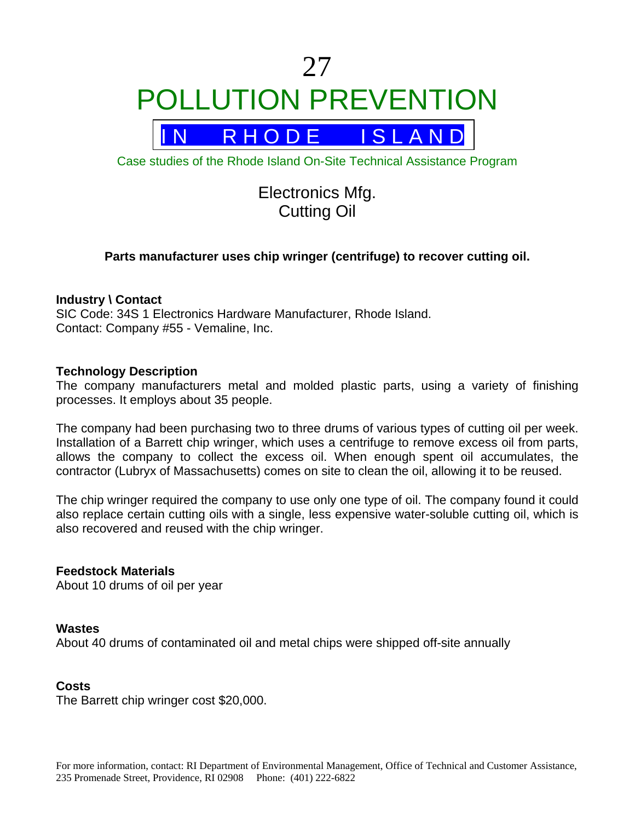# 27 POLLUTION PREVENTION



Case studies of the Rhode Island On-Site Technical Assistance Program

## Electronics Mfg. Cutting Oil

### **Parts manufacturer uses chip wringer (centrifuge) to recover cutting oil.**

#### **Industry \ Contact**

SIC Code: 34S 1 Electronics Hardware Manufacturer, Rhode Island. Contact: Company #55 - Vemaline, Inc.

#### **Technology Description**

The company manufacturers metal and molded plastic parts, using a variety of finishing processes. It employs about 35 people.

The company had been purchasing two to three drums of various types of cutting oil per week. Installation of a Barrett chip wringer, which uses a centrifuge to remove excess oil from parts, allows the company to collect the excess oil. When enough spent oil accumulates, the contractor (Lubryx of Massachusetts) comes on site to clean the oil, allowing it to be reused.

The chip wringer required the company to use only one type of oil. The company found it could also replace certain cutting oils with a single, less expensive water-soluble cutting oil, which is also recovered and reused with the chip wringer.

#### **Feedstock Materials**

About 10 drums of oil per year

#### **Wastes**

About 40 drums of contaminated oil and metal chips were shipped off-site annually

#### **Costs**

The Barrett chip wringer cost \$20,000.